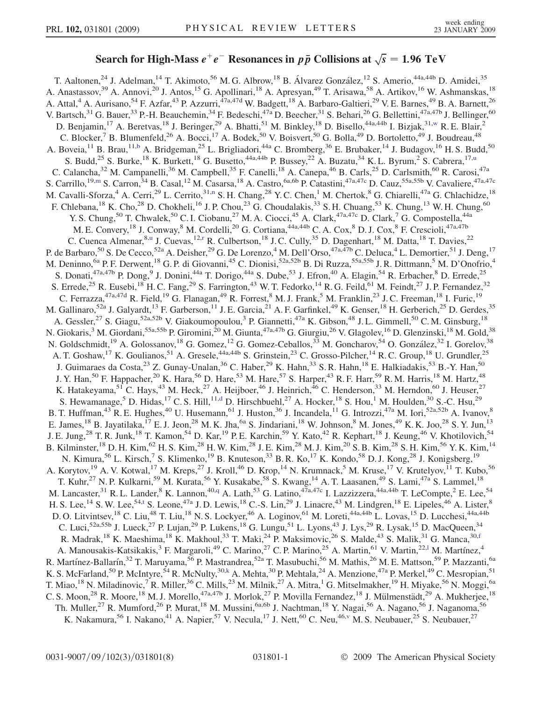## Search for High-Mass  $e^+e^-$  Resonances in  $p\bar{p}$  Collisions at  $\sqrt{s} = 1.96 \text{ TeV}$

T. Aaltonen,<sup>24</sup> J. Adelman,<sup>14</sup> T. Akimoto,<sup>56</sup> M. G. Albrow,<sup>18</sup> B. Álvarez González,<sup>12</sup> S. Amerio,<sup>44a,44b</sup> D. Amidei,<sup>35</sup> A. Anastassov,<sup>39</sup> A. Annovi,<sup>20</sup> J. Antos,<sup>15</sup> G. Apollinari,<sup>18</sup> A. Apresyan,<sup>49</sup> T. Arisawa,<sup>58</sup> A. Artikov,<sup>16</sup> W. Ashmanskas,<sup>18</sup> A. Attal,<sup>4</sup> A. Aurisano,<sup>54</sup> F. Azfar,<sup>43</sup> P. Azzurri,<sup>47a,47d</sup> W. Badgett,<sup>18</sup> A. Barbaro-Galtieri,<sup>29</sup> V. E. Barnes,<sup>49</sup> B. A. Barnett,<sup>26</sup> V. Bartsch,<sup>31</sup> G. Bauer,<sup>33</sup> P.-H. Beauchemin,<sup>34</sup> F. Bedeschi,<sup>47a</sup> D. Beecher,<sup>31</sup> S. Behari,<sup>26</sup> G. Bellettini,<sup>47a,47b</sup> J. Bellinger,<sup>60</sup> D. Benjamin,<sup>17</sup> A. Beretvas,<sup>18</sup> J. Beringer,<sup>29</sup> A. Bhatti,<sup>51</sup> M. Binkley,<sup>18</sup> D. Bisello,<sup>44a,44b</sup> I. Bizjak,<sup>31[,w](#page-6-0)</sup> R. E. Blair,<sup>2</sup> C. Blocker,<sup>7</sup> B. Blumenfeld,<sup>26</sup> A. Bocci,<sup>17</sup> A. Bodek,<sup>50</sup> V. Boisvert,<sup>50</sup> G. Bolla,<sup>49</sup> D. Bortoletto,<sup>49</sup> J. Boudreau,<sup>48</sup> A. Boveia,<sup>11</sup> B. Brau,<sup>11[,b](#page-6-0)</sup> A. Bridgeman,<sup>25</sup> L. Brigliadori,<sup>44a</sup> C. Bromberg,<sup>36</sup> E. Brubaker,<sup>14</sup> J. Budagov,<sup>16</sup> H. S. Budd,<sup>50</sup> S. B[u](#page-6-0)dd,<sup>25</sup> S. Burke,<sup>18</sup> K. Burkett,<sup>18</sup> G. Busetto,<sup>44a,44b</sup> P. Bussey,<sup>22</sup> A. Buzatu,<sup>34</sup> K. L. Byrum,<sup>2</sup> S. Cabrera,<sup>17,u</sup> C. Calancha,<sup>32</sup> M. Campanelli,<sup>36</sup> M. Campbell,<sup>35</sup> F. Canelli,<sup>18</sup> A. Canepa,<sup>46</sup> B. Carls,<sup>25</sup> D. Carlsmith,<sup>60</sup> R. Carosi,<sup>47a</sup> S. Carrillo,<sup>19,[m](#page-6-0)</sup> S. Carron,<sup>34</sup> B. Casal,<sup>12</sup> M. Casarsa,<sup>18</sup> A. Castro,<sup>6a,6b</sup> P. Catastini,<sup>47a,47c</sup> D. Cauz,<sup>55a,55b</sup> V. Cavaliere,<sup>47a,47c</sup> M. Cavalli-Sforza,<sup>4</sup> A. Cerri,<sup>29</sup> L. Cerrito,<sup>31[,n](#page-6-0)</sup> S. H. Chang,<sup>28</sup> Y. C. Chen,<sup>1</sup> M. Chertok,<sup>8</sup> G. Chiarelli,<sup>47a</sup> G. Chlachidze,<sup>18</sup> F. Chlebana,<sup>18</sup> K. Cho,<sup>28</sup> D. Chokheli,<sup>16</sup> J. P. Chou,<sup>23</sup> G. Choudalakis,<sup>33</sup> S. H. Chuang,<sup>53</sup> K. Chung,<sup>13</sup> W. H. Chung,<sup>60</sup> Y. S. Chung,<sup>50</sup> T. Chwalek,<sup>50</sup> C. I. Ciobanu,<sup>27</sup> M. A. Ciocci,<sup>45</sup> A. Clark,<sup>47a,47c</sup> D. Clark,<sup>7</sup> G. Compostella,<sup>44a</sup> M. E. Convery,<sup>18</sup> J. Conway,<sup>8</sup> M. Cordelli,<sup>20</sup> G. Cortiana,<sup>44a,44b</sup> C. A. Cox,<sup>8</sup> D. J. Cox,<sup>8</sup> F. Crescioli,<sup>47a,47b</sup> C. C[u](#page-6-0)enca Almenar,<sup>8,u</sup> J. Cuevas,<sup>12[,r](#page-6-0)</sup> R. Culbertson,<sup>18</sup> J. C. Cully,<sup>35</sup> D. Dagenhart,<sup>18</sup> M. Datta,<sup>18</sup> T. Davies,<sup>22</sup> P. de Barbaro,<sup>50</sup> S. De Cecco,<sup>52a</sup> A. Deisher,<sup>29</sup> G. De Lorenzo,<sup>4</sup> M. Dell'Orso,<sup>47a,47b</sup> C. Deluca,<sup>4</sup> L. Demortier,<sup>51</sup> J. Deng,<sup>17</sup> M. Deninno, <sup>6a</sup> P. F. Derwent, <sup>18</sup> G. P. di Giovanni, <sup>45</sup> C. Dionisi, <sup>52a, 52b</sup> B. Di Ruzza, <sup>55a, 55b</sup> J. R. Dittmann, <sup>5</sup> M. D'Onofrio, <sup>4</sup> S. Donati,<sup>47a,47b</sup> P. Dong,<sup>9</sup> J. Donini,<sup>44a</sup> T. Dorigo,<sup>44a</sup> S. Dube,<sup>53</sup> J. Efron,<sup>40</sup> A. Elagin,<sup>54</sup> R. Erbacher,<sup>8</sup> D. Errede,<sup>25</sup> S. Errede,<sup>25</sup> R. Eusebi,<sup>18</sup> H. C. Fang,<sup>29</sup> S. Farrington,<sup>43</sup> W. T. Fedorko,<sup>14</sup> R. G. Feild,<sup>61</sup> M. Feindt,<sup>27</sup> J. P. Fernandez,<sup>32</sup> C. Ferrazza,  $47a,47d$  R. Field,  $19$  G. Flanagan,  $49$  R. Forrest,  $8$  M. J. Frank,  $5$  M. Franklin,  $23$  J. C. Freeman,  $18$  I. Furic,  $19$ M. Gallinaro,<sup>52a</sup> J. Galyardt,<sup>13</sup> F. Garberson,<sup>11</sup> J. E. Garcia,<sup>21</sup> A. F. Garfinkel,<sup>49</sup> K. Genser,<sup>18</sup> H. Gerberich,<sup>25</sup> D. Gerdes,<sup>35</sup> A. Gessler,<sup>27</sup> S. Giagu,<sup>52a,52b</sup> V. Giakoumopoulou,<sup>3</sup> P. Giannetti,<sup>47a</sup> K. Gibson,<sup>48</sup> J. L. Gimmell,<sup>50</sup> C. M. Ginsburg,<sup>18</sup> N. Giokaris,<sup>3</sup> M. Giordani,<sup>55a,55b</sup> P. Giromini,<sup>20</sup> M. Giunta,<sup>47a,47b</sup> G. Giurgiu,<sup>26</sup> V. Glagolev,<sup>16</sup> D. Glenzinski,<sup>18</sup> M. Gold,<sup>38</sup> N. Goldschmidt,<sup>19</sup> A. Golossanov,<sup>18</sup> G. Gomez,<sup>12</sup> G. Gomez-Ceballos,<sup>33</sup> M. Goncharov,<sup>54</sup> O. González,<sup>32</sup> I. Gorelov,<sup>38</sup> A. T. Goshaw,<sup>17</sup> K. Goulianos,<sup>51</sup> A. Gresele,<sup>44a,44b</sup> S. Grinstein,<sup>23</sup> C. Grosso-Pilcher,<sup>14</sup> R. C. Group,<sup>18</sup> U. Grundler,<sup>25</sup> J. Guimaraes da Costa,<sup>23</sup> Z. Gunay-Unalan,<sup>36</sup> C. Haber,<sup>29</sup> K. Hahn,<sup>33</sup> S. R. Hahn,<sup>18</sup> E. Halkiadakis,<sup>53</sup> B.-Y. Han,<sup>50</sup> J. Y. Han,<sup>50</sup> F. Happacher,<sup>20</sup> K. Hara,<sup>56</sup> D. Hare,<sup>53</sup> M. Hare,<sup>57</sup> S. Harper,<sup>43</sup> R. F. Harr,<sup>59</sup> R. M. Harris,<sup>18</sup> M. Hartz,<sup>48</sup> K. Hatakeyama,<sup>51</sup> C. Hays,<sup>43</sup> M. Heck,<sup>27</sup> A. Heijboer,<sup>46</sup> J. Heinrich,<sup>46</sup> C. Henderson,<sup>33</sup> M. Herndon,<sup>60</sup> J. Heuser,<sup>27</sup> S. Hewamanage,<sup>5</sup> D. Hi[d](#page-6-0)as,<sup>17</sup> C. S. Hill,<sup>11,d</sup> D. Hirschbuehl,<sup>27</sup> A. Hocker,<sup>18</sup> S. Hou,<sup>1</sup> M. Houlden,<sup>30</sup> S.-C. Hsu,<sup>29</sup> B. T. Huffman,<sup>43</sup> R. E. Hughes,<sup>40</sup> U. Husemann,<sup>61</sup> J. Huston,<sup>36</sup> J. Incandela,<sup>11</sup> G. Introzzi,<sup>47a</sup> M. Iori,<sup>52a,52b</sup> A. Ivanov,<sup>8</sup> E. James, <sup>18</sup> B. Jayatilaka, <sup>17</sup> E. J. Jeon, <sup>28</sup> M. K. Jha, <sup>6a</sup> S. Jindariani, <sup>18</sup> W. Johnson, <sup>8</sup> M. Jones, <sup>49</sup> K. K. Joo, <sup>28</sup> S. Y. Jun, <sup>13</sup> J. E. Jung,<sup>28</sup> T. R. Junk,<sup>18</sup> T. Kamon,<sup>54</sup> D. Kar,<sup>19</sup> P. E. Karchin,<sup>59</sup> Y. Kato,<sup>42</sup> R. Kephart,<sup>18</sup> J. Keung,<sup>46</sup> V. Khotilovich,<sup>54</sup> B. Kilminster,<sup>18</sup> D. H. Kim,<sup>62</sup> H. S. Kim,<sup>28</sup> H. W. Kim,<sup>28</sup> J. E. Kim,<sup>28</sup> M. J. Kim,<sup>20</sup> S. B. Kim,<sup>28</sup> S. H. Kim,<sup>56</sup> Y. K. Kim,<sup>14</sup> N. Kimura,<sup>56</sup> L. Kirsch,<sup>7</sup> S. Klimenko,<sup>19</sup> B. Knuteson,<sup>33</sup> B. R. Ko,<sup>17</sup> K. Kondo,<sup>58</sup> D. J. Kong,<sup>28</sup> J. Konigsberg,<sup>19</sup> A. Korytov,<sup>19</sup> A. V. Kotwal,<sup>17</sup> M. Kreps,<sup>27</sup> J. Kroll,<sup>46</sup> D. Krop,<sup>14</sup> N. Krumnack,<sup>5</sup> M. Kruse,<sup>17</sup> V. Krutelyov,<sup>11</sup> T. Kubo,<sup>56</sup> T. Kuhr,<sup>27</sup> N. P. Kulkarni,<sup>59</sup> M. Kurata,<sup>56</sup> Y. Kusakabe,<sup>58</sup> S. Kwang,<sup>14</sup> A. T. Laasanen,<sup>49</sup> S. Lami,<sup>47a</sup> S. Lammel,<sup>18</sup> M. Lancaster,<sup>31</sup> R. L. Lander,<sup>8</sup> K. Lannon,<sup>40[,q](#page-6-0)</sup> A. Lath,<sup>53</sup> G. Latino,<sup>47a,47c</sup> I. Lazzizzera,<sup>44a,44b</sup> T. LeCompte,<sup>2</sup> E. Lee,<sup>54</sup> H. S. Lee, <sup>14</sup> S. W. Lee, <sup>54[,t](#page-6-0)</sup> S. Leone, <sup>47a</sup> J. D. Lewis, <sup>18</sup> C.-S. Lin, <sup>29</sup> J. Linacre, <sup>43</sup> M. Lindgren, <sup>18</sup> E. Lipeles, <sup>46</sup> A. Lister, <sup>8</sup> D. O. Litvintsev,<sup>18</sup> C. Liu,<sup>48</sup> T. Liu,<sup>18</sup> N. S. Lockyer,<sup>46</sup> A. Loginov,<sup>61</sup> M. Loreti,<sup>44a,44b</sup> L. Lovas,<sup>15</sup> D. Lucchesi,<sup>44a,44b</sup> C. Luci,<sup>52a,55b</sup> J. Lueck,<sup>27</sup> P. Lujan,<sup>29</sup> P. Lukens,<sup>18</sup> G. Lungu,<sup>51</sup> L. Lyons,<sup>43</sup> J. Lys,<sup>29</sup> R. Lysak,<sup>15</sup> D. MacQueen,<sup>34</sup> R. Madrak,<sup>18</sup> K. Maeshima,<sup>18</sup> K. Makhoul,<sup>33</sup> T. Maki,<sup>24</sup> P. Maksimovic,<sup>26</sup> S. Malde,<sup>43</sup> S. Malik,<sup>31</sup> G. Manca,<sup>30,[f](#page-6-0)</sup> A. Manousakis-Katsikakis,<sup>3</sup> F. Margaro[l](#page-6-0)i,<sup>49</sup> C. Marino,<sup>27</sup> C.P. Marino,<sup>25</sup> A. Martin,<sup>61</sup> V. Martin,<sup>22,1</sup> M. Martínez,<sup>4</sup> R. Martínez-Ballarín,<sup>32</sup> T. Maruyama,<sup>56</sup> P. Mastrandrea,<sup>52a</sup> T. Masubuchi,<sup>56</sup> M. Mathis,<sup>26</sup> M. E. Mattson,<sup>59</sup> P. Mazzanti,<sup>6a</sup> K. S. McFarland,<sup>50</sup> P. McIntyre,<sup>54</sup> R. McNulty,<sup>30,[k](#page-6-0)</sup> A. Mehta,<sup>30</sup> P. Mehtala,<sup>24</sup> A. Menzione,<sup>47a</sup> P. Merkel,<sup>49</sup> C. Mesropian,<sup>51</sup> T. Miao,<sup>18</sup> N. Miladinovic,<sup>7</sup> R. Miller,<sup>36</sup> C. Mills,<sup>23</sup> M. Milnik,<sup>27</sup> A. Mitra,<sup>1</sup> G. Mitselmakher,<sup>19</sup> H. Miyake,<sup>56</sup> N. Moggi,<sup>6a</sup> C. S. Moon,<sup>28</sup> R. Moore,<sup>18</sup> M. J. Morello,<sup>47a,47b</sup> J. Morlok,<sup>27</sup> P. Movilla Fernandez,<sup>18</sup> J. Mülmenstädt,<sup>29</sup> A. Mukherjee,<sup>18</sup> Th. Muller,<sup>27</sup> R. Mumford,<sup>26</sup> P. Murat,<sup>18</sup> M. Mussini,<sup>6a,6b</sup> J. Nachtman,<sup>18</sup> Y. Nagai,<sup>56</sup> A. Nagano,<sup>56</sup> J. Naganoma,<sup>56</sup> K. Nakamura, <sup>56</sup> I. Nakano, <sup>41</sup> A. Napier, <sup>57</sup> V. Necula, <sup>17</sup> J. Nett, <sup>60</sup> C. Neu, <sup>46, v</sup> M. S. Neubauer, <sup>25</sup> S. Neubauer, <sup>27</sup>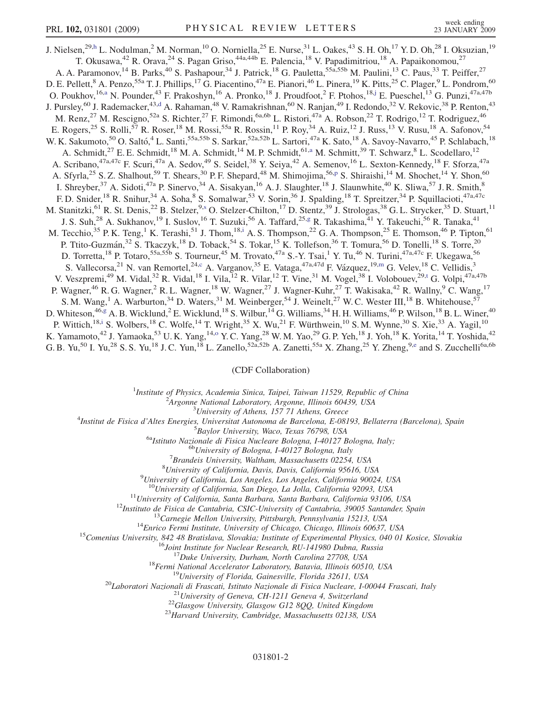J. Nielsen,<sup>29,[h](#page-6-0)</sup> L. Nodulman,<sup>2</sup> M. Norman,<sup>10</sup> O. Norniella,<sup>25</sup> E. Nurse,<sup>31</sup> L. Oakes,<sup>43</sup> S. H. Oh,<sup>17</sup> Y. D. Oh,<sup>28</sup> I. Oksuzian,<sup>19</sup> T. Okusawa,<sup>42</sup> R. Orava,<sup>24</sup> S. Pagan Griso,<sup>44a,44b</sup> E. Palencia,<sup>18</sup> V. Papadimitriou,<sup>18</sup> A. Papaikonomou,<sup>27</sup> A. A. Paramonov,<sup>14</sup> B. Parks,<sup>40</sup> S. Pashapour,<sup>34</sup> J. Patrick,<sup>18</sup> G. Pauletta,<sup>55a,55b</sup> M. Paulini,<sup>13</sup> C. Paus,<sup>33</sup> T. Peiffer,<sup>27</sup> D. E. Pellett,<sup>8</sup> A. Penzo,<sup>55a</sup> T. J. Phillips,<sup>17</sup> G. Piacentino,<sup>47a</sup> E. Pianori,<sup>46</sup> L. Pinera,<sup>19</sup> K. Pitts,<sup>25</sup> C. Plager,<sup>9</sup> L. Pondrom,<sup>60</sup> O. Poukhov, <sup>16,[a](#page-6-0)</sup> N. Pounder, <sup>43</sup> F. Prakoshyn, <sup>16</sup> A. Pronko, <sup>18</sup> J. Proudfoot, <sup>2</sup> F. Ptohos, <sup>18[,j](#page-6-0)</sup> E. Pueschel, <sup>13</sup> G. Punzi, <sup>47a, 47b</sup> J. Pursley,<sup>60</sup> J. Ra[d](#page-6-0)emacker,<sup>43,d</sup> A. Rahaman,<sup>48</sup> V. Ramakrishnan,<sup>60</sup> N. Ranjan,<sup>49</sup> I. Redondo,<sup>32</sup> V. Rekovic,<sup>38</sup> P. Renton,<sup>43</sup> M. Renz,<sup>27</sup> M. Rescigno,<sup>52a</sup> S. Richter,<sup>27</sup> F. Rimondi,<sup>6a,6b</sup> L. Ristori,<sup>47a</sup> A. Robson,<sup>22</sup> T. Rodrigo,<sup>12</sup> T. Rodriguez,<sup>46</sup> E. Rogers,<sup>25</sup> S. Rolli,<sup>57</sup> R. Roser,<sup>18</sup> M. Rossi,<sup>55a</sup> R. Rossin,<sup>11</sup> P. Roy,<sup>34</sup> A. Ruiz,<sup>12</sup> J. Russ,<sup>13</sup> V. Rusu,<sup>18</sup> A. Safonov,<sup>54</sup> W. K. Sakumoto,<sup>50</sup> O. Saltó,<sup>4</sup> L. Santi,<sup>55a,55b</sup> S. Sarkar,<sup>52a,52b</sup> L. Sartori,<sup>47a</sup> K. Sato,<sup>18</sup> A. Savoy-Navarro,<sup>45</sup> P. Schlabach,<sup>18</sup> A. Schmidt,<sup>27</sup> E. E. Schmidt,<sup>18</sup> M. A. Schmidt,<sup>14</sup> M. P. Schmidt,<sup>61,[a](#page-6-0)</sup> M. Schmitt,<sup>39</sup> T. Schwarz,<sup>8</sup> L. Scodellaro,<sup>12</sup> A. Scribano,<sup>47a,47c</sup> F. Scuri,<sup>47a</sup> A. Sedov,<sup>49</sup> S. Seidel,<sup>38</sup> Y. Seiya,<sup>42</sup> A. Semenov,<sup>16</sup> L. Sexton-Kennedy,<sup>18</sup> F. Sforza,<sup>47a</sup> A. Sfyrla,<su[p](#page-6-0)>25</sup> S. Z. Shalhout,<sup>59</sup> T. Shears,<sup>30</sup> P. F. Shepard,<sup>48</sup> M. Shimojima,<sup>56,p</sup> S. Shiraishi,<sup>14</sup> M. Shochet,<sup>14</sup> Y. Shon,<sup>60</sup> I. Shreyber,  $37$  A. Sidoti,  $47a$  P. Sinervo,  $34$  A. Sisakyan,  $16$  A. J. Slaughter,  $18$  J. Slaunwhite,  $40$  K. Sliwa,  $57$  J. R. Smith,  $8$ F. D. Snider,<sup>18</sup> R. Snihur,<sup>34</sup> A. Soha,<sup>8</sup> S. Somalwar,<sup>53</sup> V. Sorin,<sup>36</sup> J. Spalding,<sup>18</sup> T. Spreitzer,<sup>34</sup> P. Squillacioti,<sup>47a,47c</sup> M. Stanitzki,<sup>61</sup> R. St. Denis,<sup>22</sup> B. Stelzer,<sup>9[,s](#page-6-0)</sup> O. Stelzer-Chilton,<sup>17</sup> D. Stentz,<sup>39</sup> J. Strologas,<sup>38</sup> G. L. Strycker,<sup>35</sup> D. Stuart,<sup>11</sup> J. S. Suh,<sup>28</sup> A. Sukhanov,<sup>19</sup> I. Suslov,<sup>16</sup> T. Suzuki,<sup>56</sup> A. Taffard,<sup>25[,g](#page-6-0)</sup> R. Takashima,<sup>41</sup> Y. Takeuchi,<sup>56</sup> R. Tanaka,<sup>41</sup> M. Tecch[i](#page-6-0)o,<sup>35</sup> P. K. Teng,<sup>1</sup> K. Terashi,<sup>51</sup> J. Thom,<sup>18,i</sup> A. S. Thompson,<sup>22</sup> G. A. Thompson,<sup>25</sup> E. Thomson,<sup>46</sup> P. Tipton,<sup>61</sup> P. Ttito-Guzmán,<sup>32</sup> S. Tkaczyk,<sup>18</sup> D. Toback,<sup>54</sup> S. Tokar,<sup>15</sup> K. Tollefson,<sup>36</sup> T. Tomura,<sup>56</sup> D. Tonelli,<sup>18</sup> S. Torre,<sup>20</sup> D. Torretta,<sup>18</sup> P. Totaro,<sup>55a,55b</sup> S. Tourneur,<sup>45</sup> M. Trovato,<sup>47a</sup> S.-Y. Tsai,<sup>1</sup> Y. Tu,<sup>46</sup> N. Turini,<sup>47a,47c</sup> F. Ukegawa,<sup>56</sup> S. Vallecorsa,<sup>21</sup> N. van Remortel,<sup>24[,c](#page-6-0)</sup> A. Varganov,<sup>35</sup> E. Vataga,<sup>47a,47d</sup> F. Vázquez,<sup>19,[m](#page-6-0)</sup> G. Velev,<sup>18</sup> C. Vellidis,<sup>3</sup> V. Veszpremi,<sup>49</sup> M. Vidal,<sup>32</sup> R. Vidal,<sup>18</sup> I. Vila,<sup>12</sup> R. Vilar,<sup>12</sup> T. Vine,<sup>31</sup> M. Vogel,<sup>38</sup> I. Volobouev,<sup>29,[t](#page-6-0)</sup> G. Volpi,<sup>47a,47b</sup> P. Wagner,<sup>46</sup> R. G. Wagner,<sup>2</sup> R. L. Wagner,<sup>18</sup> W. Wagner,<sup>27</sup> J. Wagner-Kuhr,<sup>27</sup> T. Wakisaka,<sup>42</sup> R. Wallny,<sup>9</sup> C. Wang,<sup>17</sup> S. M. Wang,<sup>1</sup> A. Warburton,<sup>34</sup> D. Waters,<sup>31</sup> M. Weinberger,<sup>54</sup> J. Weinelt,<sup>27</sup> W. C. Wester III,<sup>18</sup> B. Whitehouse,<sup>57</sup> D. Whiteson,<sup>46,[g](#page-6-0)</sup> A. B. Wicklund,<sup>2</sup> E. Wicklund,<sup>18</sup> S. Wilbur,<sup>14</sup> G. Williams,<sup>34</sup> H. H. Williams,<sup>46</sup> P. Wilson,<sup>18</sup> B. L. Winer,<sup>40</sup> P. Wittich,<sup>18[,i](#page-6-0)</sup> S. Wolbers,<sup>18</sup> C. Wolfe,<sup>14</sup> T. Wright,<sup>35</sup> X. Wu,<sup>21</sup> F. Würthwein,<sup>10</sup> S. M. Wynne,<sup>30</sup> S. Xie,<sup>33</sup> A. Yagil,<sup>10</sup> K. Yamam[o](#page-6-0)to,<sup>42</sup> J. Yamaoka,<sup>53</sup> U.K. Yang,<sup>14,0</sup> Y.C. Yang,<sup>28</sup> W.M. Yao,<sup>29</sup> G.P. Yeh,<sup>18</sup> J. Yoh,<sup>18</sup> K. Yorita,<sup>14</sup> T. Yoshida,<sup>42</sup>

G. B. Yu,<sup>50</sup> I. Yu,<sup>28</sup> S. S. Yu,<sup>18</sup> J. C. Yun,<sup>18</sup> L. Zanello,<sup>52a,52b</sup> A. Zanetti,<sup>55a</sup> X. Zhang,<sup>25</sup> Y. Zheng,<sup>9[,e](#page-6-0)</sup> and S. Zucchelli<sup>6a,6b</sup>

## (CDF Collaboration)

<sup>1</sup>Institute of Physics, Academia Sinica, Taipei, Taiwan 11529, Republic of China<br><sup>2</sup>Argonna National Laboratory, Argonna Illinois 60430, USA

<sup>2</sup>Argonne National Laboratory, Argonne, Illinois 60439, USA<br><sup>3</sup>University of Athens, 157 71 Athens, Greece

<sup>5</sup> University of Athens, 157 71 Athens, Greece  $\frac{3}{4}$  University of Athens, 157 71 Athens, Greece

Institut de Fisica d'Altes Energies, Universitat Autonoma de Barcelona, E-08193, Bellaterra (Barcelona), Spain <sup>5</sup>

<sup>5</sup>Baylor University, Waco, Texas 76798, USA<br><sup>6a</sup>Istituto Nazionale di Fisica Nucleare Bologna, I-40127 Bologna, Italy;<br><sup>6b</sup>University of Bologna, I-40127 Bologna, Italy

 ${}^{7}$ Brandeis University, Waltham, Massachusetts 02254, USA

 ${}^{8}$ University of California, Davis, Davis, California 95616, USA

 $^{9}$ University of California, Los Angeles, Los Angeles, California 90024, USA

 $\begin{array}{r} \text{^{10}University of California, San Diego, La Jolla, California 92093, USA} \\ \text{^{11}University of California, Santa Barbara, Santa Barbara, California 93106, USA} \\ \text{^{12}Instituto de Fisica de Cantabria, CStC-University of Cantabria, 39005 Samadera, 13213, USA} \\ \text{^{13}Carnegie Melon University, Pittshurgh, Pennsylvania 15213, USA} \\ \text{^{14}Enrico Fermi Institute, University of Chicago, Chicago, Illinois 60637, USA} \\ \text{^{15}Join Institute for Nuclear Research, RU-141980 Dubna, Russia} \\ \text{^{16}Join Institute for Nuclear Research, RU-1419$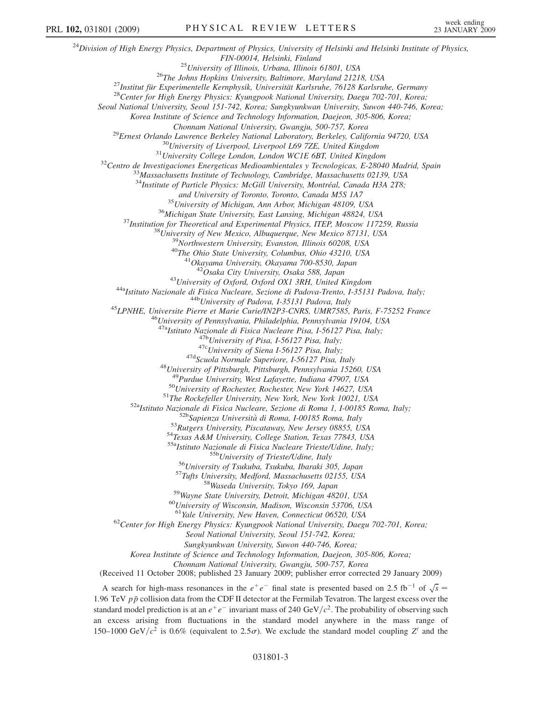$^{24}$ Division of High Energy Physics, Department of Physics, University of Helsinki and Helsinki Institute of Physics, FIN-00014, Helsinki, Finland<br><sup>25</sup>University of Illinois, Urbana, Illinois 61801, USA<br><sup>26</sup>The Johns Hopkins University, Baltimore, Maryland 21218, USA<br><sup>27</sup>Institut für Experimentelle Kernphysik, Universität Karlsruhe, 76128 Seoul National University, Seoul 151-742, Korea; Sungkyunkwan University, Suwon 440-746, Korea; Korea Institute of Science and Technology Information, Daejeon, 305-806, Korea; <sup>29</sup>Ernest Orlando Lawrence Berkeley National Laboratory, Berkeley, California 94720, USA<br><sup>30</sup>University of Liverpool, Liverpool L69 7ZE, United Kingdom<br><sup>31</sup>University College London, London WCIE 6BT, United Kingdom<br><sup>32</sup>C  $34$ Institute of Particle Physics: McGill University, Montréal, Canada H3A 2T8; and University of Toronto, Toronto, Canada M5S 1A7<br><sup>35</sup>University of Michigan, Ann Arbor, Michigan 48109, USA<br><sup>36</sup>Michigan State University, East Lansing, Michigan 48824, USA<br><sup>37</sup>Institution for Theoretical and Experimenta <sup>43</sup>University of Oxford, Oxford OX1 3RH, United Kingdom<br><sup>44a</sup>Istituto Nazionale di Fisica Nucleare, Sezione di Padova-Trento, I-35131 Padova, Italy;<br><sup>44b</sup>University of Padova, I-35131 Padova, Italy<br><sup>45</sup>LPNHE, Universite <sup>47b</sup>University of Pisa, I-56127 Pisa, Italy;<br><sup>47c</sup>University of Siena I-56127 Pisa, Italy;<br><sup>47d</sup>Scuola Normale Superiore, I-56127 Pisa, Italy<br><sup>48</sup>University of Pittsburgh, Pittsburgh, Pennsylvania 15260, USA<br><sup>49</sup>Purdue U <sup>50</sup>University of Rochester, Rochester, New York 14627, USA<br><sup>51</sup>The Rockefeller University, New York, New York 10021, USA<br><sup>52a</sup>Istituto Nazionale di Fisica Nucleare, Sezione di Roma 1, I-00185 Roma, Italy;<br><sup>52b</sup>Sapienza U <sup>55b</sup>University of Trieste/Udine, Italy<br><sup>56</sup>University of Tsukuba, Tsukuba, Ibaraki 305, Japan<br><sup>57</sup>Tufts University, Medford, Massachusetts 02155, USA<br><sup>58</sup>Wayne State University, Detroit, Michigan 48201, USA<br><sup>60</sup>Universit  $62$ Center for High Energy Physics: Kyungpook National University, Daegu 702-701, Korea; Seoul National University, Seoul 151-742, Korea; Sungkyunkwan University, Suwon 440-746, Korea; Korea Institute of Science and Technology Information, Daejeon, 305-806, Korea; Chonnam National University, Gwangju, 500-757, Korea (Received 11 October 2008; published 23 January 2009; publisher error corrected 29 January 2009) A search for high-mass resonances in the  $e^+e^-$  final state is presented based on 2.5 fb<sup>-1</sup> of  $\sqrt{s}$  = 06 TeV up a collision data from the CDE II detector at the Fermileb Teverson. The largest excess over the 1.96 TeV  $p\bar{p}$  collision data from the CDF II detector at the Fermilab Tevatron. The largest excess over the standard model prediction is at an  $e^+e^-$  invariant mass of 240 GeV/ $c^2$ . The probability of observing such an excess arising from fluctuations in the standard model anywhere in the mass range of 150–1000 GeV/ $c^2$  is 0.6% (equivalent to 2.5 $\sigma$ ). We exclude the standard model coupling Z' and the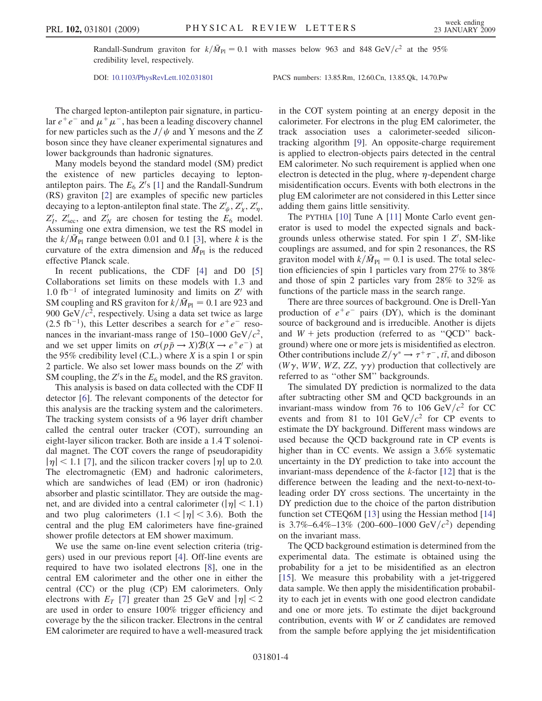Randall-Sundrum graviton for  $k/\bar{M}_{\text{Pl}} = 0.1$  with masses below 963 and 848 GeV/ $c^2$  at the 95% credibility level, respectively.

DOI: [10.1103/PhysRevLett.102.031801](http://dx.doi.org/10.1103/PhysRevLett.102.031801) PACS numbers: 13.85.Rm, 12.60.Cn, 13.85.Qk, 14.70.Pw

The charged lepton-antilepton pair signature, in particular  $e^+e^-$  and  $\mu^+\mu^-$ , has been a leading discovery channel for new particles such as the  $J/\psi$  and Y mesons and the Z boson since they have cleaner experimental signatures and lower backgrounds than hadronic signatures.

Many models beyond the standard model (SM) predict the existence of new particles decaying to leptonantilepton pairs. The  $E_6 Z$ 's [1] and the Randall-Sundrum (RS) graviton [2] are examples of specific new particles decaying to a lepton-antilepton final state. The  $Z'_\psi, Z'_\chi, Z'_\eta,$  $Z'_l$ ,  $Z'_{\text{sec}}$ , and  $Z'_N$  are chosen for testing the  $E_6$  model. Assuming one extra dimension, we test the RS model in the  $k/\bar{M}_{\text{Pl}}$  range between 0.01 and 0.1 [3], where k is the curvature of the extra dimension and  $\overline{M}_{\text{Pl}}$  is the reduced effective Planck scale.

In recent publications, the CDF [4] and D0 [5] Collaborations set limits on these models with 1.3 and 1.0 fb<sup>-1</sup> of integrated luminosity and limits on  $Z'$  with SM coupling and RS graviton for  $k/\bar{M}_{\text{Pl}} = 0.1$  are 923 and 900 GeV/ $c^2$ , respectively. Using a data set twice as large  $(2.5 \text{ fb}^{-1})$ , this Letter describes a search for  $e^+e^-$  resonances in the invariant-mass range of 150–1000 GeV/ $c^2$ , and we set upper limits on  $\sigma(p\bar{p} \rightarrow X) \mathcal{B}(X \rightarrow e^+e^-)$  at the 95% credibility level (C.L.) where  $X$  is a spin 1 or spin 2 particle. We also set lower mass bounds on the  $Z<sup>1</sup>$  with SM coupling, the  $Z$ 's in the  $E_6$  model, and the RS graviton.

This analysis is based on data collected with the CDF II detector [6]. The relevant components of the detector for this analysis are the tracking system and the calorimeters. The tracking system consists of a 96 layer drift chamber called the central outer tracker (COT), surrounding an eight-layer silicon tracker. Both are inside a 1.4 T solenoidal magnet. The COT covers the range of pseudorapidity  $|\eta|$  < 1.1 [7], and the silicon tracker covers  $|\eta|$  up to 2.0. The electromagnetic (EM) and hadronic calorimeters, which are sandwiches of lead (EM) or iron (hadronic) absorber and plastic scintillator. They are outside the magnet, and are divided into a central calorimeter ( $|\eta|$  < 1.1) and two plug calorimeters  $(1.1 < |\eta| < 3.6)$ . Both the central and the plug EM calorimeters have fine-grained shower profile detectors at EM shower maximum.

We use the same on-line event selection criteria (triggers) used in our previous report [4]. Off-line events are required to have two isolated electrons [8], one in the central EM calorimeter and the other one in either the central (CC) or the plug (CP) EM calorimeters. Only electrons with  $E_T$  [7] greater than 25 GeV and  $|\eta| < 2$ are used in order to ensure 100% trigger efficiency and coverage by the the silicon tracker. Electrons in the central EM calorimeter are required to have a well-measured track in the COT system pointing at an energy deposit in the calorimeter. For electrons in the plug EM calorimeter, the track association uses a calorimeter-seeded silicontracking algorithm [9]. An opposite-charge requirement is applied to electron-objects pairs detected in the central EM calorimeter. No such requirement is applied when one electron is detected in the plug, where  $\eta$ -dependent charge misidentification occurs. Events with both electrons in the plug EM calorimeter are not considered in this Letter since adding them gains little sensitivity.

The PYTHIA [10] Tune A [11] Monte Carlo event generator is used to model the expected signals and backgrounds unless otherwise stated. For spin  $1 \, Z'$ , SM-like couplings are assumed, and for spin 2 resonances, the RS graviton model with  $k/\bar{M}_{\text{Pl}} = 0.1$  is used. The total selection efficiencies of spin 1 particles vary from 27% to 38% and those of spin 2 particles vary from 28% to 32% as functions of the particle mass in the search range.

There are three sources of background. One is Drell-Yan production of  $e^+e^-$  pairs (DY), which is the dominant source of background and is irreducible. Another is dijets and  $W$  + jets production (referred to as "QCD" background) where one or more jets is misidentified as electron. Other contributions include  $Z/\gamma^* \to \tau^+\tau^-$ ,  $t\bar{t}$ , and diboson  $(W\gamma$  WW WZ ZZ  $\gamma\gamma)$  production that collectively are (W $\gamma$ , WW, WZ, ZZ,  $\gamma \gamma$ ) production that collectively are referred to as ''other SM'' backgrounds.

The simulated DY prediction is normalized to the data after subtracting other SM and QCD backgrounds in an invariant-mass window from 76 to 106 GeV/ $c^2$  for CC events and from 81 to 101  $\frac{GeV}{c^2}$  for CP events to estimate the DY background. Different mass windows are used because the QCD background rate in CP events is higher than in CC events. We assign a 3.6% systematic uncertainty in the DY prediction to take into account the invariant-mass dependence of the k-factor [12] that is the difference between the leading and the next-to-next-toleading order DY cross sections. The uncertainty in the DY prediction due to the choice of the parton distribution function set CTEQ6M [13] using the Hessian method [14] is 3.7%–6.4%–13% (200–600–1000 GeV/ $c^2$ ) depending on the invariant mass.

The QCD background estimation is determined from the experimental data. The estimate is obtained using the probability for a jet to be misidentified as an electron [15]. We measure this probability with a jet-triggered data sample. We then apply the misidentification probability to each jet in events with one good electron candidate and one or more jets. To estimate the dijet background contribution, events with W or Z candidates are removed from the sample before applying the jet misidentification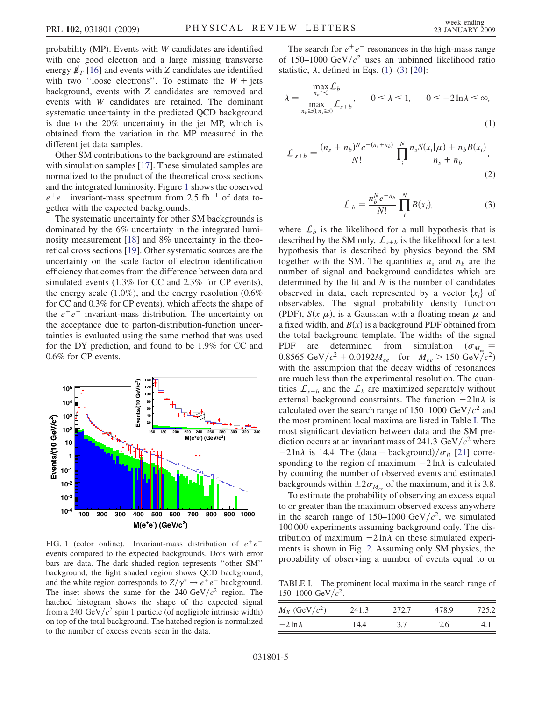probability (MP). Events with W candidates are identified with one good electron and a large missing transverse energy  $\rlap{\,/}E_T$  [16] and events with Z candidates are identified with two "loose electrons". To estimate the  $W +$  jets background, events with Z candidates are removed and events with W candidates are retained. The dominant systematic uncertainty in the predicted QCD background is due to the 20% uncertainty in the jet MP, which is obtained from the variation in the MP measured in the different jet data samples.

Other SM contributions to the background are estimated with simulation samples [17]. These simulated samples are normalized to the product of the theoretical cross sections and the integrated luminosity. Figure 1 shows the observed  $e^+e^-$  invariant-mass spectrum from 2.5 fb<sup>-1</sup> of data together with the expected backgrounds.

The systematic uncertainty for other SM backgrounds is dominated by the 6% uncertainty in the integrated luminosity measurement [18] and 8% uncertainty in the theoretical cross sections [19]. Other systematic sources are the uncertainty on the scale factor of electron identification efficiency that comes from the difference between data and simulated events (1.3% for CC and 2.3% for CP events), the energy scale  $(1.0\%)$ , and the energy resolution  $(0.6\%$ for CC and 0.3% for CP events), which affects the shape of the  $e^+e^-$  invariant-mass distribution. The uncertainty on the acceptance due to parton-distribution-function uncertainties is evaluated using the same method that was used for the DY prediction, and found to be 1.9% for CC and 0.6% for CP events.



FIG. 1 (color online). Invariant-mass distribution of  $e^+e^$ events compared to the expected backgrounds. Dots with error bars are data. The dark shaded region represents ''other SM'' background, the light shaded region shows QCD background, and the white region corresponds to  $Z/\gamma^* \to e^+e^-$  background.<br>The inset shows the same for the 240 GeV/ $c^2$  region. The The inset shows the same for the 240  $GeV/c^2$  region. The hatched histogram shows the shape of the expected signal from a 240 GeV/ $c^2$  spin 1 particle (of negligible intrinsic width) on top of the total background. The hatched region is normalized to the number of excess events seen in the data.

The search for  $e^+e^-$  resonances in the high-mass range of 150–1000 GeV/ $c^2$  uses an unbinned likelihood ratio statistic,  $\lambda$ , defined in Eqs. (1)–([3](#page-4-0)) [20]:

$$
\lambda = \frac{\max_{n_b \ge 0} L_b}{\max_{n_b \ge 0, n_s \ge 0} L_{s+b}}, \quad 0 \le \lambda \le 1, \quad 0 \le -2\ln\lambda \le \infty,
$$
\n(1)

<span id="page-4-0"></span>
$$
\mathcal{L}_{s+b} = \frac{(n_s + n_b)^N e^{-(n_s + n_b)}}{N!} \prod_{i}^{N} \frac{n_s S(x_i | \mu) + n_b B(x_i)}{n_s + n_b},
$$
\n(2)

$$
\mathcal{L}_b = \frac{n_b^N e^{-n_b}}{N!} \prod_i^N B(x_i), \tag{3}
$$

where  $\mathcal{L}_b$  is the likelihood for a null hypothesis that is described by the SM only,  $\mathcal{L}_{s+b}$  is the likelihood for a test hypothesis that is described by physics beyond the SM together with the SM. The quantities  $n_s$  and  $n_b$  are the number of signal and background candidates which are determined by the fit and  $N$  is the number of candidates observed in data, each represented by a vector  $\{x_i\}$  of observables. The signal probability density function (PDF),  $S(x|\mu)$ , is a Gaussian with a floating mean  $\mu$  and a fixed width and  $R(x)$  is a background PDF obtained from a fixed width, and  $B(x)$  is a background PDF obtained from the total background template. The widths of the signal PDF are determined from simulation ( $\sigma_{M_{eq}}$  = 0.8565 GeV/ $c^2$  + 0.0192 $M_{ee}$  for  $M_{ee}$  > 150 GeV/ $c^2$ ) with the assumption that the decay widths of resonances are much less than the experimental resolution. The quantities  $\mathcal{L}_{s+b}$  and the  $\mathcal{L}_b$  are maximized separately without external background constraints. The function  $-2 \ln \lambda$  is calculated over the search range of 150–1000 GeV/ $c<sup>2</sup>$  and the most prominent local maxima are listed in Table I. The most significant deviation between data and the SM prediction occurs at an invariant mass of 241.3 GeV/ $c^2$  where  $-2 \ln \lambda$  is 14.4. The (data – background)/ $\sigma_B$  [21] corresponding to the region of maximum  $-2 \ln \lambda$  is calculated by counting the number of observed events and estimated backgrounds within  $\pm 2\sigma_{M_{ee}}$  of the maximum, and it is 3.8.

To estimate the probability of observing an excess equal to or greater than the maximum observed excess anywhere in the search range of 150–1000 GeV/ $c^2$ , we simulated 100 000 experiments assuming background only. The distribution of maximum  $-2 \ln \lambda$  on these simulated experiments is shown in Fig. [2.](#page-5-0) Assuming only SM physics, the probability of observing a number of events equal to or

TABLE I. The prominent local maxima in the search range of 150–1000 GeV/ $c^2$ .

| $M_X$ (GeV/ $c^2$ ) | 241.3 | 2.72.7 | 478.9 | 725.2 |
|---------------------|-------|--------|-------|-------|
| $-2 \ln \lambda$    | 14.4  | 37     | 2.6   |       |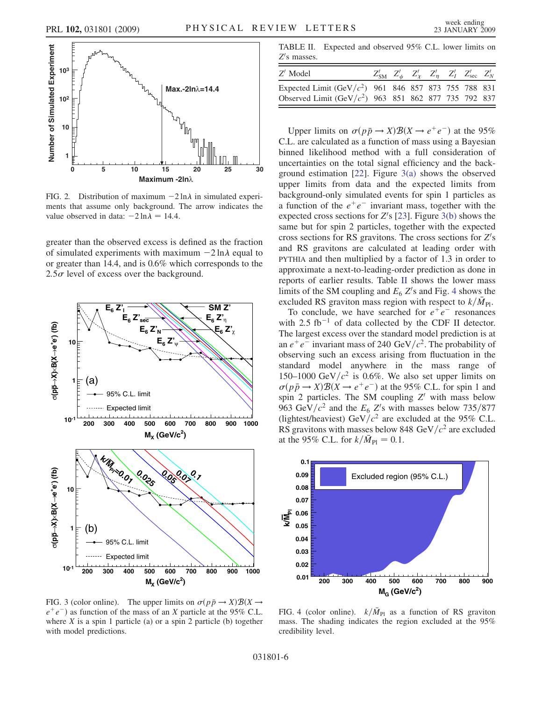<span id="page-5-0"></span>

FIG. 2. Distribution of maximum  $-2 \ln \lambda$  in simulated experiments that assume only background. The arrow indicates the value observed in data:  $-2 \ln \lambda = 14.4$ .

greater than the observed excess is defined as the fraction of simulated experiments with maximum  $-2 \ln \lambda$  equal to or greater than 14.4, and is 0.6% which corresponds to the  $2.5\sigma$  level of excess over the background.



FIG. 3 (color online). The upper limits on  $\sigma(p\bar{p} \rightarrow X) \mathcal{B}(X \rightarrow$  $e^+e^-$ ) as function of the mass of an X particle at the 95% C.L. where  $X$  is a spin 1 particle (a) or a spin 2 particle (b) together with model predictions.

TABLE II. Expected and observed 95% C.L. lower limits on  $Z$ 's masses.

| $Z'$ Model                                                                                                         |  |  | $Z'_{\text{SM}}$ $Z'_{\psi}$ $Z'_{\chi}$ $Z'_{\eta}$ $Z'_{I}$ $Z'_{\text{sec}}$ $Z'_{N}$ |  |
|--------------------------------------------------------------------------------------------------------------------|--|--|------------------------------------------------------------------------------------------|--|
| Expected Limit $(GeV/c^2)$ 961 846 857 873 755 788 831<br>Observed Limit (GeV/ $c^2$ ) 963 851 862 877 735 792 837 |  |  |                                                                                          |  |
|                                                                                                                    |  |  |                                                                                          |  |

Upper limits on  $\sigma(p\bar{p} \rightarrow X) \mathcal{B}(X \rightarrow e^+e^-)$  at the 95% C.L. are calculated as a function of mass using a Bayesian binned likelihood method with a full consideration of uncertainties on the total signal efficiency and the background estimation [22]. Figure 3(a) shows the observed upper limits from data and the expected limits from background-only simulated events for spin 1 particles as a function of the  $e^+e^-$  invariant mass, together with the expected cross sections for  $Z$ 's [23]. Figure 3(b) shows the same but for spin 2 particles, together with the expected cross sections for RS gravitons. The cross sections for  $Z$ 's and RS gravitons are calculated at leading order with PYTHIA and then multiplied by a factor of 1.3 in order to approximate a next-to-leading-order prediction as done in reports of earlier results. Table II shows the lower mass limits of the SM coupling and  $E_6 Z$ 's and Fig. 4 shows the excluded RS graviton mass region with respect to  $k/\bar{M}_{\text{Pl}}$ .

To conclude, we have searched for  $e^+e^-$  resonances with 2.5  $fb^{-1}$  of data collected by the CDF II detector. The largest excess over the standard model prediction is at an  $e^+e^-$  invariant mass of 240 GeV/ $c^2$ . The probability of observing such an excess arising from fluctuation in the standard model anywhere in the mass range of 150–1000 GeV/ $c^2$  is 0.6%. We also set upper limits on  $\sigma(p\bar{p} \rightarrow X) \mathcal{B}(X \rightarrow e^+e^-)$  at the 95% C.L. for spin 1 and spin 2 particles. The SM coupling  $Z'$  with mass below 963 GeV/ $c^2$  and the  $E_6$  Z's with masses below 735/877 (lightest/heaviest) GeV/ $c^2$  are excluded at the 95% C.L. RS gravitons with masses below 848 GeV/ $c^2$  are excluded at the 95% C.L. for  $k/\bar{M}_{\text{Pl}} = 0.1$ .



FIG. 4 (color online).  $k/\bar{M}_{\text{Pl}}$  as a function of RS graviton mass. The shading indicates the region excluded at the 95% credibility level.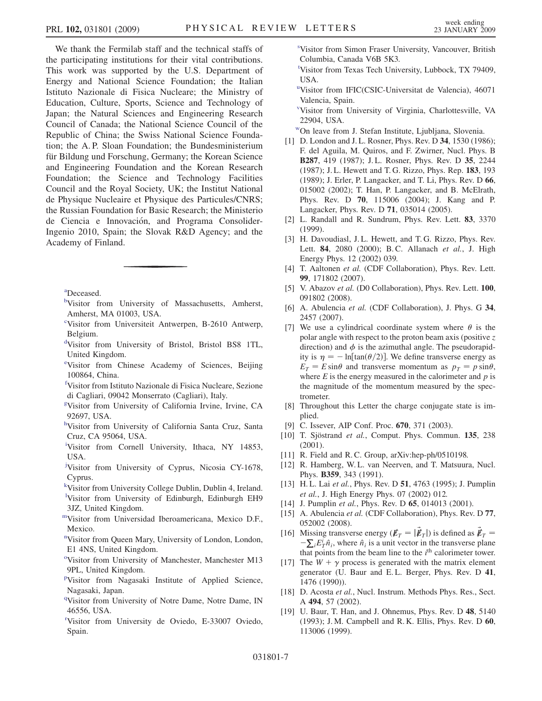<span id="page-6-0"></span>We thank the Fermilab staff and the technical staffs of the participating institutions for their vital contributions. This work was supported by the U.S. Department of Energy and National Science Foundation; the Italian Istituto Nazionale di Fisica Nucleare; the Ministry of Education, Culture, Sports, Science and Technology of Japan; the Natural Sciences and Engineering Research Council of Canada; the National Science Council of the Republic of China; the Swiss National Science Foundation; the A. P. Sloan Foundation; the Bundesministerium für Bildung und Forschung, Germany; the Korean Science and Engineering Foundation and the Korean Research Foundation; the Science and Technology Facilities Council and the Royal Society, UK; the Institut National de Physique Nucleaire et Physique des Particules/CNRS; the Russian Foundation for Basic Research; the Ministerio de Ciencia e Innovación, and Programa Consolider-Ingenio 2010, Spain; the Slovak R&D Agency; and the Academy of Finland.

a Deceased.

- bVisitor from University of Massachusetts, Amherst, Amherst, MA 01003, USA.
- c Visitor from Universiteit Antwerpen, B-2610 Antwerp, Belgium.
- d Visitor from University of Bristol, Bristol BS8 1TL, United Kingdom.
- e Visitor from Chinese Academy of Sciences, Beijing 100864, China.
- f Visitor from Istituto Nazionale di Fisica Nucleare, Sezione di Cagliari, 09042 Monserrato (Cagliari), Italy.
- g Visitor from University of California Irvine, Irvine, CA 92697, USA.
- hVisitor from University of California Santa Cruz, Santa Cruz, CA 95064, USA.
- i Visitor from Cornell University, Ithaca, NY 14853, USA.
- <sup>j</sup>Visitor from University of Cyprus, Nicosia CY-1678, Cyprus.
- k Visitor from University College Dublin, Dublin 4, Ireland.
- <sup>1</sup>Visitor from University of Edinburgh, Edinburgh EH9 3JZ, United Kingdom.
- mVisitor from Universidad Iberoamericana, Mexico D.F., Mexico.
- <sup>n</sup>Visitor from Queen Mary, University of London, London, E1 4NS, United Kingdom.
- <sup>o</sup>Visitor from University of Manchester, Manchester M13 9PL, United Kingdom.
- <sup>p</sup>Visitor from Nagasaki Institute of Applied Science, Nagasaki, Japan.
- <sup>q</sup>Visitor from University of Notre Dame, Notre Dame, IN 46556, USA.
- r Visitor from University de Oviedo, E-33007 Oviedo, Spain.

s Visitor from Simon Fraser University, Vancouver, British Columbia, Canada V6B 5K3.

- t Visitor from Texas Tech University, Lubbock, TX 79409, USA.
- u Visitor from IFIC(CSIC-Universitat de Valencia), 46071 Valencia, Spain.
- v Visitor from University of Virginia, Charlottesville, VA 22904, USA.
- wOn leave from J. Stefan Institute, Ljubljana, Slovenia.
- [1] D. London and J. L. Rosner, Phys. Rev. D 34, 1530 (1986); F. del Aguila, M. Quiros, and F. Zwirner, Nucl. Phys. B B287, 419 (1987); J. L. Rosner, Phys. Rev. D 35, 2244 (1987); J. L. Hewett and T. G. Rizzo, Phys. Rep. 183, 193 (1989); J. Erler, P. Langacker, and T. Li, Phys. Rev. D 66, 015002 (2002); T. Han, P. Langacker, and B. McElrath, Phys. Rev. D 70, 115006 (2004); J. Kang and P. Langacker, Phys. Rev. D 71, 035014 (2005).
- [2] L. Randall and R. Sundrum, Phys. Rev. Lett. 83, 3370 (1999).
- [3] H. Davoudiasl, J. L. Hewett, and T. G. Rizzo, Phys. Rev. Lett. 84, 2080 (2000); B.C. Allanach et al., J. High Energy Phys. 12 (2002) 039.
- [4] T. Aaltonen et al. (CDF Collaboration), Phys. Rev. Lett. 99, 171802 (2007).
- [5] V. Abazov et al. (D0 Collaboration), Phys. Rev. Lett. 100, 091802 (2008).
- [6] A. Abulencia et al. (CDF Collaboration), J. Phys. G 34, 2457 (2007).
- [7] We use a cylindrical coordinate system where  $\theta$  is the polar angle with respect to the proton beam axis (positive  $\zeta$ ) direction) and  $\phi$  is the azimuthal angle. The pseudorapidity is  $\eta = -\ln[\tan(\theta/2)]$ . We define transverse energy as  $E_T = E \sin \theta$  and transverse momentum as  $p_T = p \sin \theta$ , where  $E$  is the energy measured in the calorimeter and  $p$  is the magnitude of the momentum measured by the spectrometer.
- [8] Throughout this Letter the charge conjugate state is implied.
- [9] C. Issever, AIP Conf. Proc. 670, 371 (2003).
- [10] T. Sjöstrand et al., Comput. Phys. Commun. 135, 238 (2001).
- [11] R. Field and R. C. Group, arXiv:hep-ph/0510198.
- [12] R. Hamberg, W. L. van Neerven, and T. Matsuura, Nucl. Phys. B359, 343 (1991).
- [13] H. L. Lai et al., Phys. Rev. D 51, 4763 (1995); J. Pumplin et al., J. High Energy Phys. 07 (2002) 012.
- [14] J. Pumplin et al., Phys. Rev. D 65, 014013 (2001).
- [15] A. Abulencia et al. (CDF Collaboration), Phys. Rev. D 77, 052002 (2008).
- [16] Missing transverse energy  $(\vec{E}_T = |\vec{E}_T|)$  is defined as  $\vec{E}_T = -\nabla \cdot F^i \hat{n}$ , where  $\hat{n}$  is a unit vector in the transverse plane  $-\sum_i E_T^i \hat{n}_i$ , where  $\hat{n}_i$  is a unit vector in the transverse plane<br>that points from the beam line to the *i*<sup>th</sup> calorimeter tower that points from the beam line to the  $i<sup>th</sup>$  calorimeter tower.
- [17] The  $W + \gamma$  process is generated with the matrix element generator (U. Baur and E. L. Berger, Phys. Rev. D 41, 1476 (1990)).
- [18] D. Acosta et al., Nucl. Instrum. Methods Phys. Res., Sect. <sup>A</sup> 494, 57 (2002).
- [19] U. Baur, T. Han, and J. Ohnemus, Phys. Rev. D 48, 5140 (1993); J. M. Campbell and R. K. Ellis, Phys. Rev. D  $60$ , 113006 (1999).